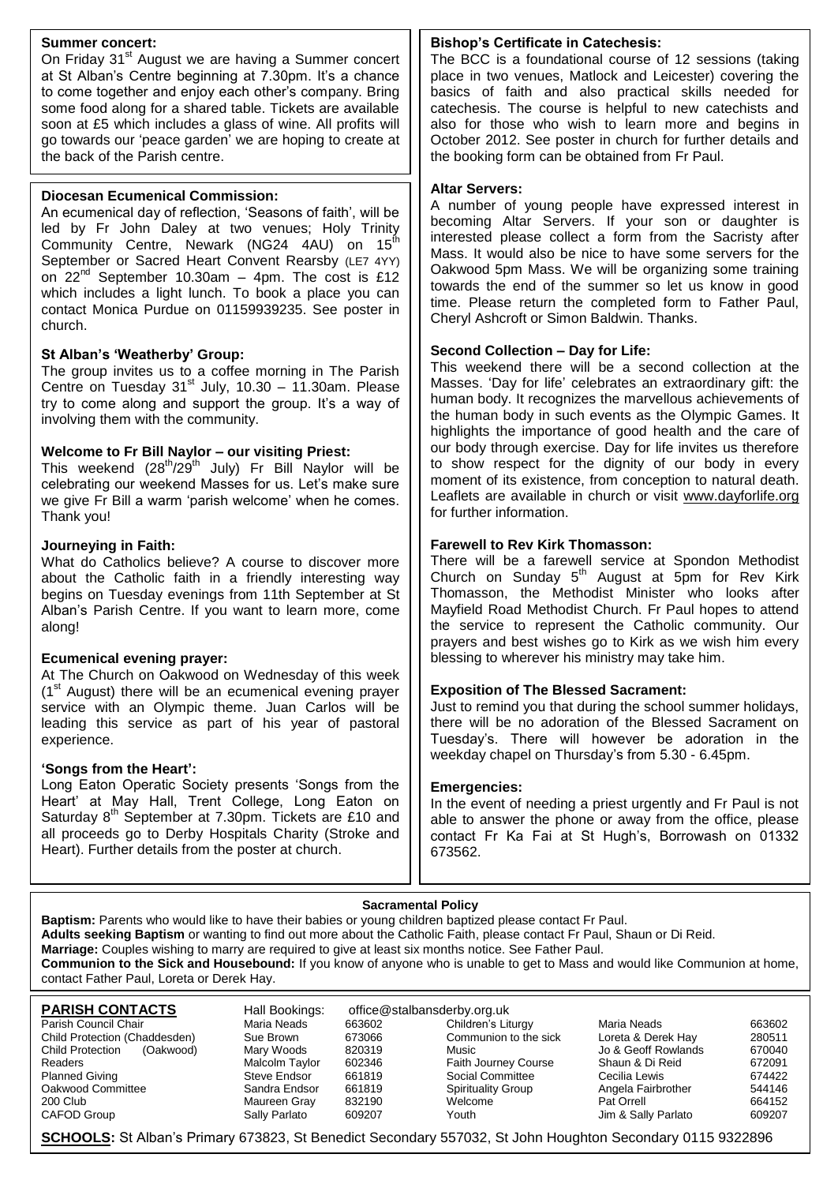#### **Summer concert:**

On Friday 31<sup>st</sup> August we are having a Summer concert at St Alban's Centre beginning at 7.30pm. It's a chance to come together and enjoy each other's company. Bring some food along for a shared table. Tickets are available soon at £5 which includes a glass of wine. All profits will go towards our 'peace garden' we are hoping to create at the back of the Parish centre.

#### **Diocesan Ecumenical Commission:**

An ecumenical day of reflection, 'Seasons of faith', will be led by Fr John Daley at two venues; Holy Trinity Community Centre, Newark (NG24 4AU) on 15<sup>th</sup> September or Sacred Heart Convent Rearsby (LE7 4YY) on  $22^{nd}$  September 10.30am – 4pm. The cost is £12 which includes a light lunch. To book a place you can contact Monica Purdue on 01159939235. See poster in church.

#### **St Alban's 'Weatherby' Group:**

The group invites us to a coffee morning in The Parish Centre on Tuesday 31<sup>st</sup> July, 10.30 – 11.30am. Please try to come along and support the group. It's a way of involving them with the community.

#### **Welcome to Fr Bill Naylor – our visiting Priest:**

This weekend (28<sup>th</sup>/29<sup>th</sup> July) Fr Bill Naylor will be celebrating our weekend Masses for us. Let's make sure we give Fr Bill a warm 'parish welcome' when he comes. Thank you!

#### **Journeying in Faith:**

What do Catholics believe? A course to discover more about the Catholic faith in a friendly interesting way begins on Tuesday evenings from 11th September at St Alban's Parish Centre. If you want to learn more, come along!

#### **Ecumenical evening prayer:**

At The Church on Oakwood on Wednesday of this week  $(1<sup>st</sup>$  August) there will be an ecumenical evening prayer service with an Olympic theme. Juan Carlos will be leading this service as part of his year of pastoral experience.

#### **'Songs from the Heart':**

Long Eaton Operatic Society presents 'Songs from the Heart' at May Hall, Trent College, Long Eaton on Saturday  $8<sup>th</sup>$  September at 7.30pm. Tickets are £10 and all proceeds go to Derby Hospitals Charity (Stroke and Heart). Further details from the poster at church.

#### **Bishop's Certificate in Catechesis:**

The BCC is a foundational course of 12 sessions (taking place in two venues, Matlock and Leicester) covering the basics of faith and also practical skills needed for catechesis. The course is helpful to new catechists and also for those who wish to learn more and begins in October 2012. See poster in church for further details and the booking form can be obtained from Fr Paul.

#### **Altar Servers:**

A number of young people have expressed interest in becoming Altar Servers. If your son or daughter is interested please collect a form from the Sacristy after Mass. It would also be nice to have some servers for the Oakwood 5pm Mass. We will be organizing some training towards the end of the summer so let us know in good time. Please return the completed form to Father Paul, Cheryl Ashcroft or Simon Baldwin. Thanks.

#### **Second Collection – Day for Life:**

This weekend there will be a second collection at the Masses. 'Day for life' celebrates an extraordinary gift: the human body. It recognizes the marvellous achievements of the human body in such events as the Olympic Games. It highlights the importance of good health and the care of our body through exercise. Day for life invites us therefore to show respect for the dignity of our body in every moment of its existence, from conception to natural death. Leaflets are available in church or visit [www.dayforlife.org](http://www.dayforlife.org/) for further information.

#### **Farewell to Rev Kirk Thomasson:**

There will be a farewell service at Spondon Methodist Church on Sunday  $5<sup>th</sup>$  August at  $5<sup>th</sup>$  for Rev Kirk Thomasson, the Methodist Minister who looks after Mayfield Road Methodist Church. Fr Paul hopes to attend the service to represent the Catholic community. Our prayers and best wishes go to Kirk as we wish him every blessing to wherever his ministry may take him.

#### **Exposition of The Blessed Sacrament:**

Just to remind you that during the school summer holidays, there will be no adoration of the Blessed Sacrament on Tuesday's. There will however be adoration in the weekday chapel on Thursday's from 5.30 - 6.45pm.

#### **Emergencies:**

In the event of needing a priest urgently and Fr Paul is not able to answer the phone or away from the office, please contact Fr Ka Fai at St Hugh's, Borrowash on 01332 673562.

#### **Sacramental Policy**

**Baptism:** Parents who would like to have their babies or young children baptized please contact Fr Paul. **Adults seeking Baptism** or wanting to find out more about the Catholic Faith, please contact Fr Paul, Shaun or Di Reid. **Marriage:** Couples wishing to marry are required to give at least six months notice. See Father Paul. **Communion to the Sick and Housebound:** If you know of anyone who is unable to get to Mass and would like Communion at home, contact Father Paul, Loreta or Derek Hay.

| <b>PARISH CONTACTS</b>               | Hall Bookings: | office@stalbansderby.org.uk |                             |                     |        |
|--------------------------------------|----------------|-----------------------------|-----------------------------|---------------------|--------|
| Parish Council Chair                 | Maria Neads    | 663602                      | Children's Liturgy          | Maria Neads         | 663602 |
| Child Protection (Chaddesden)        | Sue Brown      | 673066                      | Communion to the sick       | Loreta & Derek Hay  | 280511 |
| <b>Child Protection</b><br>(Oakwood) | Mary Woods     | 820319                      | Music                       | Jo & Geoff Rowlands | 670040 |
| Readers                              | Malcolm Taylor | 602346                      | <b>Faith Journey Course</b> | Shaun & Di Reid     | 672091 |
| <b>Planned Giving</b>                | Steve Endsor   | 661819                      | Social Committee            | Cecilia Lewis       | 674422 |
| Oakwood Committee                    | Sandra Endsor  | 661819                      | <b>Spirituality Group</b>   | Angela Fairbrother  | 544146 |
| 200 Club                             | Maureen Gray   | 832190                      | Welcome                     | Pat Orrell          | 664152 |
| CAFOD Group                          | Sally Parlato  | 609207                      | Youth                       | Jim & Sally Parlato | 609207 |

**SCHOOLS:** St Alban's Primary 673823, St Benedict Secondary 557032, St John Houghton Secondary 0115 9322896